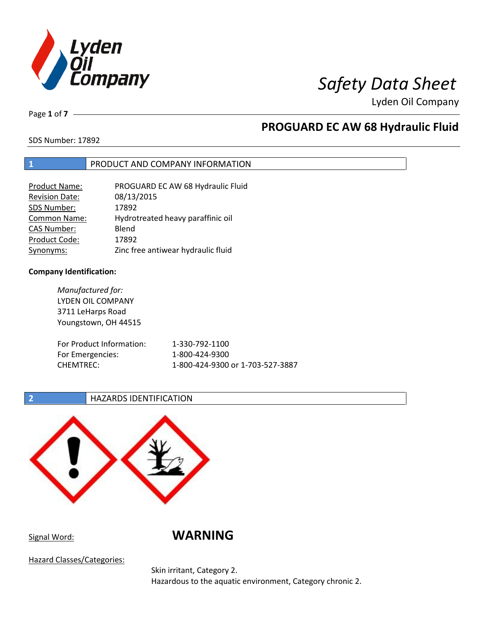

Page **1** of **7**

# **PROGUARD EC AW 68 Hydraulic Fluid**

SDS Number: 17892

### **1** PRODUCT AND COMPANY INFORMATION

| Product Name:         | PROGUARD EC AW 68 Hydraulic Fluid  |
|-----------------------|------------------------------------|
| <b>Revision Date:</b> | 08/13/2015                         |
| SDS Number:           | 17892                              |
| Common Name:          | Hydrotreated heavy paraffinic oil  |
| <b>CAS Number:</b>    | Blend                              |
| Product Code:         | 17892                              |
| Synonyms:             | Zinc free antiwear hydraulic fluid |

### **Company Identification:**

*Manufactured for:* LYDEN OIL COMPANY 3711 LeHarps Road Youngstown, OH 44515 For Product Information: 1-330-792-1100 For Emergencies: 1-800-424-9300 CHEMTREC: 1-800-424-9300 or 1-703-527-3887

### **2 HAZARDS IDENTIFICATION**



Signal Word: **WARNING**

Hazard Classes/Categories:

Skin irritant, Category 2. Hazardous to the aquatic environment, Category chronic 2.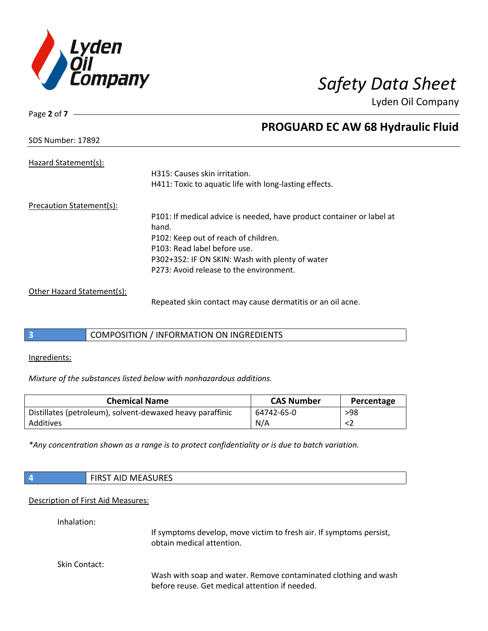

SDS Number: 17892

Page **2** of **7**

# **PROGUARD EC AW 68 Hydraulic Fluid**

| Hazard Statement(s):       | H315: Causes skin irritation.<br>H411: Toxic to aquatic life with long-lasting effects. |
|----------------------------|-----------------------------------------------------------------------------------------|
| Precaution Statement(s):   |                                                                                         |
|                            | P101: If medical advice is needed, have product container or label at<br>hand.          |
|                            | P102: Keep out of reach of children.                                                    |
|                            | P103: Read label before use.                                                            |
|                            | P302+352: IF ON SKIN: Wash with plenty of water                                         |
|                            | P273: Avoid release to the environment.                                                 |
| Other Hazard Statement(s): |                                                                                         |
|                            | Denasted slip sentest mau cause demonitie an an alleges                                 |

Repeated skin contact may cause dermatitis or an oil acne.

### **3** COMPOSITION / INFORMATION ON INGREDIENTS

Ingredients:

*Mixture of the substances listed below with nonhazardous additions.*

| <b>Chemical Name</b>                                      | <b>CAS Number</b> | Percentage |
|-----------------------------------------------------------|-------------------|------------|
| Distillates (petroleum), solvent-dewaxed heavy paraffinic | 64742-65-0        | >98        |
| Additives                                                 | N/A               |            |

*\*Any concentration shown as a range is to protect confidentiality or is due to batch variation.*

| $\overline{4}$ | <b>FIRST AID MEASURES</b>                                                                                         |
|----------------|-------------------------------------------------------------------------------------------------------------------|
|                | Description of First Aid Measures:                                                                                |
| Inhalation:    | If symptoms develop, move victim to fresh air. If symptoms persist,<br>obtain medical attention.                  |
| Skin Contact:  | Wash with soap and water. Remove contaminated clothing and wash<br>before reuse. Get medical attention if needed. |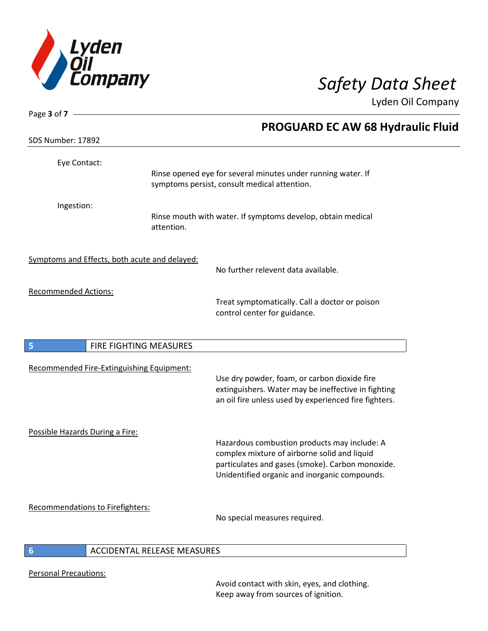

| Page 3 of $7 -$                               |                              |                                                                                                                                                                                                   |
|-----------------------------------------------|------------------------------|---------------------------------------------------------------------------------------------------------------------------------------------------------------------------------------------------|
|                                               |                              | <b>PROGUARD EC AW 68 Hydraulic Fluid</b>                                                                                                                                                          |
| SDS Number: 17892                             |                              |                                                                                                                                                                                                   |
| Eye Contact:                                  |                              |                                                                                                                                                                                                   |
|                                               |                              | Rinse opened eye for several minutes under running water. If<br>symptoms persist, consult medical attention.                                                                                      |
| Ingestion:                                    | attention.                   | Rinse mouth with water. If symptoms develop, obtain medical                                                                                                                                       |
| Symptoms and Effects, both acute and delayed: |                              | No further relevent data available.                                                                                                                                                               |
| <b>Recommended Actions:</b>                   |                              | Treat symptomatically. Call a doctor or poison<br>control center for guidance.                                                                                                                    |
| 5                                             | FIRE FIGHTING MEASURES       |                                                                                                                                                                                                   |
| Recommended Fire-Extinguishing Equipment:     |                              | Use dry powder, foam, or carbon dioxide fire<br>extinguishers. Water may be ineffective in fighting<br>an oil fire unless used by experienced fire fighters.                                      |
| Possible Hazards During a Fire:               |                              | Hazardous combustion products may include: A<br>complex mixture of airborne solid and liquid<br>particulates and gases (smoke). Carbon monoxide.<br>Unidentified organic and inorganic compounds. |
| Recommendations to Firefighters:              |                              | No special measures required.                                                                                                                                                                     |
|                                               | ACCIDENTAL DELEACE MEACLIDEC |                                                                                                                                                                                                   |

### **6** ACCIDENTAL RELEASE MEASURES

Personal Precautions:

I

Avoid contact with skin, eyes, and clothing. Keep away from sources of ignition.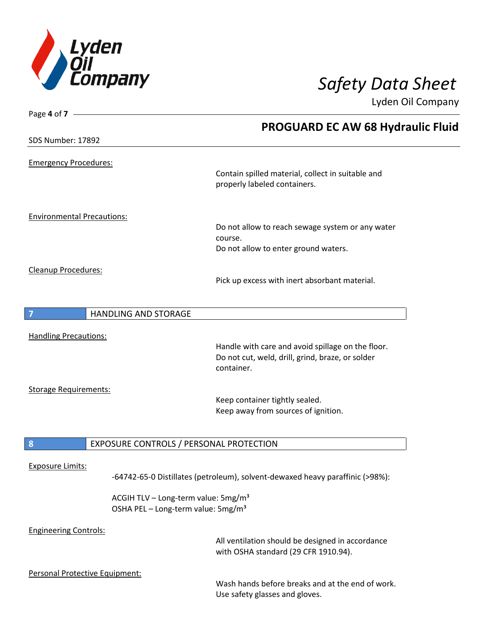

| Page 4 of 7 —                     |                                                                                                   |                                                                                          |
|-----------------------------------|---------------------------------------------------------------------------------------------------|------------------------------------------------------------------------------------------|
|                                   |                                                                                                   | <b>PROGUARD EC AW 68 Hydraulic Fluid</b>                                                 |
| SDS Number: 17892                 |                                                                                                   |                                                                                          |
| <b>Emergency Procedures:</b>      |                                                                                                   |                                                                                          |
|                                   |                                                                                                   | Contain spilled material, collect in suitable and<br>properly labeled containers.        |
| <b>Environmental Precautions:</b> |                                                                                                   |                                                                                          |
|                                   |                                                                                                   | Do not allow to reach sewage system or any water                                         |
|                                   |                                                                                                   | course.<br>Do not allow to enter ground waters.                                          |
|                                   |                                                                                                   |                                                                                          |
| Cleanup Procedures:               |                                                                                                   | Pick up excess with inert absorbant material.                                            |
| 7                                 | <b>HANDLING AND STORAGE</b>                                                                       |                                                                                          |
| <b>Handling Precautions:</b>      |                                                                                                   |                                                                                          |
|                                   |                                                                                                   | Handle with care and avoid spillage on the floor.                                        |
|                                   |                                                                                                   | Do not cut, weld, drill, grind, braze, or solder<br>container.                           |
|                                   |                                                                                                   |                                                                                          |
| <b>Storage Requirements:</b>      |                                                                                                   |                                                                                          |
|                                   |                                                                                                   | Keep container tightly sealed.<br>Keep away from sources of ignition.                    |
|                                   |                                                                                                   |                                                                                          |
| 8                                 | EXPOSURE CONTROLS / PERSONAL PROTECTION                                                           |                                                                                          |
| <b>Exposure Limits:</b>           |                                                                                                   |                                                                                          |
|                                   |                                                                                                   | -64742-65-0 Distillates (petroleum), solvent-dewaxed heavy paraffinic (>98%):            |
|                                   | ACGIH TLV - Long-term value: 5mg/m <sup>3</sup><br>OSHA PEL - Long-term value: 5mg/m <sup>3</sup> |                                                                                          |
| <b>Engineering Controls:</b>      |                                                                                                   | All ventilation should be designed in accordance<br>with OSHA standard (29 CFR 1910.94). |
| Personal Protective Equipment:    |                                                                                                   |                                                                                          |

Wash hands before breaks and at the end of work. Use safety glasses and gloves.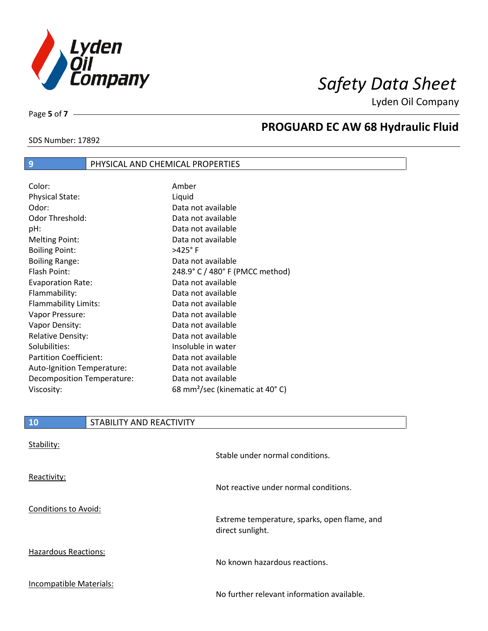

SDS Number: 17892

Page **5** of **7**

# **PROGUARD EC AW 68 Hydraulic Fluid**

### **9** PHYSICAL AND CHEMICAL PROPERTIES

| Color:                        | Amber                                       |
|-------------------------------|---------------------------------------------|
| <b>Physical State:</b>        | Liquid                                      |
| Odor:                         | Data not available                          |
| Odor Threshold:               | Data not available                          |
| pH:                           | Data not available                          |
| <b>Melting Point:</b>         | Data not available                          |
| <b>Boiling Point:</b>         | $>425^\circ$ F                              |
| <b>Boiling Range:</b>         | Data not available                          |
| Flash Point:                  | 248.9° C / 480° F (PMCC method)             |
| <b>Evaporation Rate:</b>      | Data not available                          |
| Flammability:                 | Data not available                          |
| Flammability Limits:          | Data not available                          |
| Vapor Pressure:               | Data not available                          |
| Vapor Density:                | Data not available                          |
| <b>Relative Density:</b>      | Data not available                          |
| Solubilities:                 | Insoluble in water                          |
| <b>Partition Coefficient:</b> | Data not available                          |
| Auto-Ignition Temperature:    | Data not available                          |
| Decomposition Temperature:    | Data not available                          |
| Viscosity:                    | 68 mm <sup>2</sup> /sec (kinematic at 40°C) |

| <b>10</b>                   | STABILITY AND REACTIVITY |                                                                  |
|-----------------------------|--------------------------|------------------------------------------------------------------|
| Stability:                  |                          | Stable under normal conditions.                                  |
| Reactivity:                 |                          | Not reactive under normal conditions.                            |
| Conditions to Avoid:        |                          | Extreme temperature, sparks, open flame, and<br>direct sunlight. |
| <b>Hazardous Reactions:</b> |                          | No known hazardous reactions.                                    |
| Incompatible Materials:     |                          | No further relevant information available.                       |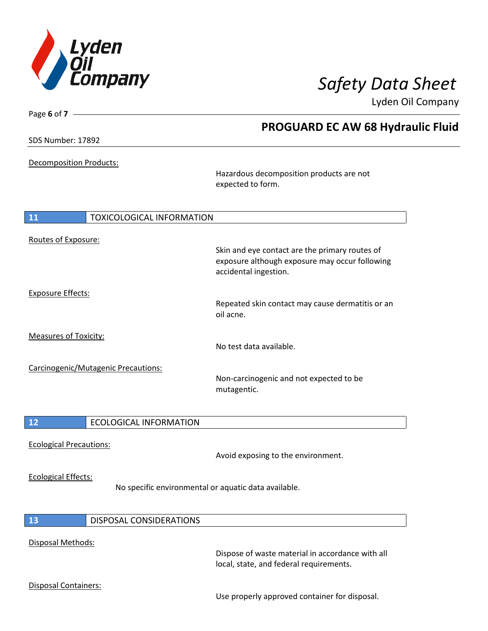

| Page 6 of 7 $\cdot$            |                                     |                                                                                                                           | Lyden Oil Company |
|--------------------------------|-------------------------------------|---------------------------------------------------------------------------------------------------------------------------|-------------------|
|                                |                                     | <b>PROGUARD EC AW 68 Hydraulic Fluid</b>                                                                                  |                   |
| <b>SDS Number: 17892</b>       |                                     |                                                                                                                           |                   |
| <b>Decomposition Products:</b> |                                     | Hazardous decomposition products are not<br>expected to form.                                                             |                   |
| <b>11</b>                      | <b>TOXICOLOGICAL INFORMATION</b>    |                                                                                                                           |                   |
| Routes of Exposure:            |                                     |                                                                                                                           |                   |
|                                |                                     | Skin and eye contact are the primary routes of<br>exposure although exposure may occur following<br>accidental ingestion. |                   |
| <b>Exposure Effects:</b>       |                                     |                                                                                                                           |                   |
|                                |                                     | Repeated skin contact may cause dermatitis or an<br>oil acne.                                                             |                   |
| <b>Measures of Toxicity:</b>   |                                     | No test data available.                                                                                                   |                   |
|                                | Carcinogenic/Mutagenic Precautions: |                                                                                                                           |                   |
|                                |                                     | Non-carcinogenic and not expected to be<br>mutagentic.                                                                    |                   |
| 12                             | <b>ECOLOGICAL INFORMATION</b>       |                                                                                                                           |                   |
|                                |                                     |                                                                                                                           |                   |
| <b>Ecological Precautions:</b> |                                     | Avoid exposing to the environment.                                                                                        |                   |
| <b>Ecological Effects:</b>     |                                     | No specific environmental or aquatic data available.                                                                      |                   |
| 13                             | DISPOSAL CONSIDERATIONS             |                                                                                                                           |                   |

### Disposal Methods:

Dispose of waste material in accordance with all local, state, and federal requirements.

### Disposal Containers:

Use properly approved container for disposal.